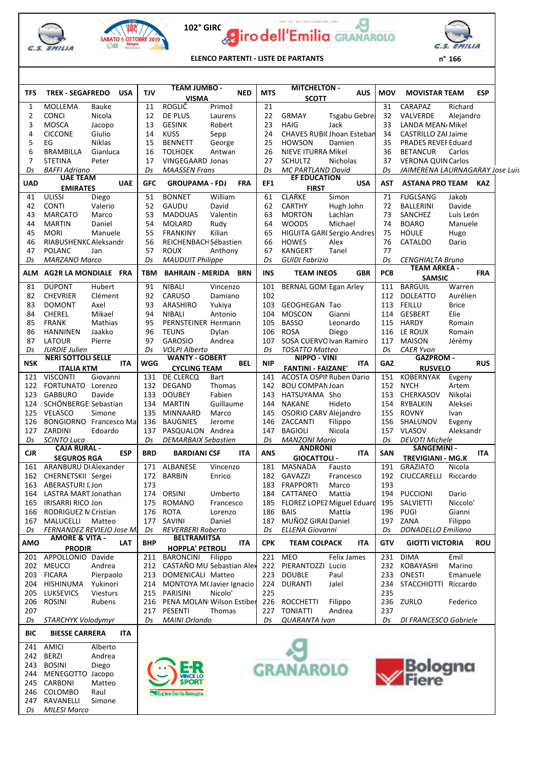

*Ds MILESI Marco*







**ELENCO PARTENTI - LISTE DE PARTANTS**

| n | 166 |
|---|-----|
|   |     |

|            |                                                                                                                                              |            | <b>TEAM JUMBO -</b>                         |           |            |            | <b>MITCHELTON -</b>             |                                  |            |                                 |                      |            |  |
|------------|----------------------------------------------------------------------------------------------------------------------------------------------|------------|---------------------------------------------|-----------|------------|------------|---------------------------------|----------------------------------|------------|---------------------------------|----------------------|------------|--|
| TFS        | <b>TREK - SEGAFREDO</b><br><b>USA</b>                                                                                                        | TJV        | <b>VISMA</b>                                |           | <b>NED</b> | <b>MTS</b> | <b>SCOTT</b>                    | <b>AUS</b>                       | <b>MOV</b> | <b>MOVISTAR TEAM</b>            |                      | <b>ESP</b> |  |
| 1          | MOLLEMA<br>Bauke                                                                                                                             | 11         | ROGLIČ                                      | Primož    |            | 21         |                                 |                                  | 31         | CARAPAZ                         | Richard              |            |  |
| 2          | <b>CONCI</b><br>Nicola                                                                                                                       | 12         | DE PLUS                                     | Laurens   |            | 22         | <b>GRMAY</b>                    | <b>Tsgabu Gebrei</b>             | 32         | VALVERDE                        | Alejandro            |            |  |
| 3          | <b>MOSCA</b><br>Jacopo                                                                                                                       | 13         | <b>GESINK</b>                               | Robert    |            | 23         | <b>HAIG</b>                     | Jack                             | 33         | LANDA MEAN, Mikel               |                      |            |  |
| 4          | <b>CICCONE</b><br>Giulio                                                                                                                     | 14         | <b>KUSS</b>                                 | Sepp      |            | 24         |                                 | <b>CHAVES RUBI(Jhoan Esteban</b> | 34         | CASTRILLO ZAI Jaime             |                      |            |  |
| 5          | EG<br><b>Niklas</b>                                                                                                                          | 15         | <b>BENNETT</b>                              | George    |            | 25         | <b>HOWSON</b>                   | Damien                           | 35         | <b>PRADES REVEF Eduard</b>      |                      |            |  |
| 6          | <b>BRAMBILLA</b><br>Gianluca                                                                                                                 | 16         | <b>TOLHOEK</b>                              | Antwan    |            | 26         | NIEVE ITURRA Mikel              |                                  | 36         | <b>BETANCUR</b>                 | Carlos               |            |  |
| 7          | <b>STETINA</b><br>Peter                                                                                                                      | 17         | <b>VINGEGAARD Jonas</b>                     |           |            | 27         | <b>SCHULTZ</b>                  | <b>Nicholas</b>                  | 37         | <b>VERONA QUIN Carlos</b>       |                      |            |  |
| Ds         | <b>BAFFI Adriano</b>                                                                                                                         | Ds         | <b>MAASSEN Frans</b>                        |           |            | Ds         | <b>MC PARTLAND David</b>        |                                  | Ds         | JAIMERENA LAURNAGARAY Jose Luis |                      |            |  |
|            | <b>UAE TEAM</b>                                                                                                                              |            |                                             |           |            |            | <b>EF EDUCATION</b>             |                                  |            |                                 |                      |            |  |
| <b>UAD</b> | <b>UAE</b><br><b>EMIRATES</b>                                                                                                                | <b>GFC</b> | <b>GROUPAMA - FDJ</b>                       |           | <b>FRA</b> | EF1        | <b>FIRST</b>                    | <b>USA</b>                       | AST        | <b>ASTANA PRO TEAM</b>          |                      | <b>KAZ</b> |  |
| 41         | <b>ULISSI</b><br>Diego                                                                                                                       | 51         | <b>BONNET</b>                               | William   |            | 61         | <b>CLARKE</b>                   | Simon                            | 71         | <b>FUGLSANG</b>                 | Jakob                |            |  |
| 42         | <b>CONTI</b><br>Valerio                                                                                                                      | 52         | GAUDU                                       | David     |            | 62         | <b>CARTHY</b>                   | Hugh John                        | 72         | BALLERINI                       | Davide               |            |  |
| 43         | <b>MARCATO</b><br>Marco                                                                                                                      | 53         | <b>MADOUAS</b>                              | Valentin  |            | 63         | <b>MORTON</b>                   | Lachlan                          | 73         | SANCHEZ                         | Luis León            |            |  |
| 44         |                                                                                                                                              | 54         |                                             |           |            | 64         |                                 | Michael                          | 74         |                                 |                      |            |  |
|            | <b>MARTIN</b><br>Daniel                                                                                                                      |            | <b>MOLARD</b>                               | Rudy      |            |            | <b>WOODS</b>                    |                                  |            | <b>BOARO</b>                    | Manuele              |            |  |
| 45         | <b>MORI</b><br>Manuele                                                                                                                       | 55         | <b>FRANKINY</b>                             | Kilian    |            | 65         |                                 | HIGUITA GAR(Sergio Andres        | 75         | <b>HOULE</b>                    | Hugo                 |            |  |
| 46         | RIABUSHENKC Aleksandr                                                                                                                        | 56         | REICHENBACHSébastien                        |           |            | 66         | <b>HOWES</b>                    | Alex                             | 76         | CATALDO                         | Dario                |            |  |
| 47         | <b>POLANC</b><br>Jan                                                                                                                         | 57         | <b>ROUX</b>                                 | Anthony   |            | 67         | <b>KANGERT</b>                  | Tanel                            | 77         |                                 |                      |            |  |
| Ds         | <b>MARZANO Marco</b>                                                                                                                         | Ds         | <b>MAUDUIT Philippe</b>                     |           |            | Ds         | GUIDI Fabrizio                  |                                  | Ds         | <b>CENGHIALTA Bruno</b>         |                      |            |  |
| ALM        | AG2R LA MONDIALE FRA                                                                                                                         | TBM        | <b>BAHRAIN - MERIDA BRN</b>                 |           |            | <b>INS</b> | <b>TEAM INEOS</b>               | <b>GBR</b>                       | <b>PCB</b> | <b>TEAM ARKEA -</b>             |                      | <b>FRA</b> |  |
|            |                                                                                                                                              |            |                                             |           |            |            |                                 |                                  |            | <b>SAMSIC</b>                   |                      |            |  |
| 81         | <b>DUPONT</b><br>Hubert                                                                                                                      | 91         | <b>NIBALI</b>                               | Vincenzo  |            | 101        | <b>BERNAL GOMI Egan Arley</b>   |                                  | 111        | <b>BARGUIL</b>                  | Warren               |            |  |
| 82         | <b>CHEVRIER</b><br>Clément                                                                                                                   | 92         | CARUSO                                      | Damiano   |            | 102        |                                 |                                  | 112        | <b>DOLEATTO</b>                 | Aurélien             |            |  |
| 83         | Axel<br><b>DOMONT</b>                                                                                                                        | 93         | ARASHIRO                                    | Yukiya    |            | 103        | GEOGHEGAN Tao                   |                                  | 113        | FEILLU                          | <b>Brice</b>         |            |  |
| 84         | <b>CHEREL</b><br>Mikael                                                                                                                      | 94         | <b>NIBALI</b>                               | Antonio   |            | 104        | <b>MOSCON</b>                   | Gianni                           | 114        | <b>GESBERT</b>                  | Elie                 |            |  |
| 85         | <b>FRANK</b><br>Mathias                                                                                                                      | 95         | <b>PERNSTEINER Hermann</b>                  |           |            | 105        | <b>BASSO</b>                    | Leonardo                         | 115        | HARDY                           | Romain               |            |  |
| 86         | Jaakko<br><b>HANNINEN</b>                                                                                                                    | 96         | <b>TEUNS</b>                                | Dylan     |            | 106        | <b>ROSA</b>                     | Diego                            | 116        | LE ROUX                         | Romain               |            |  |
| 87         | LATOUR<br>Pierre                                                                                                                             | 97         | <b>GAROSIO</b>                              | Andrea    |            | 107        | SOSA CUERVO Ivan Ramiro         |                                  | 117        | MAISON                          | Jérémy               |            |  |
| Ds         | <b>JURDIE Julien</b>                                                                                                                         | Ds         | <b>VOLPI Alberto</b>                        |           |            | Ds         | <b>TOSATTO Matteo</b>           |                                  | Ds         | <b>CAER Yvon</b>                |                      |            |  |
| <b>NSK</b> | <b>NERI SOTTOLI SELLE</b><br>ITA                                                                                                             | WGG        | <b>WANTY - GOBERT</b>                       |           | <b>BEL</b> | <b>NIP</b> | NIPPO - VINI                    | <b>ITA</b>                       | GAZ        | <b>GAZPROM -</b>                |                      | <b>RUS</b> |  |
|            | <b>ITALIA KTM</b>                                                                                                                            |            | <b>CYCLING TEAM</b>                         |           |            |            | <b>FANTINI - FAIZANE'</b>       |                                  |            | <b>RUSVELO</b>                  |                      |            |  |
| 121        | <b>VISCONTI</b><br>Giovanni                                                                                                                  | 131        | DE CLERCQ                                   | Bart      |            | 141        | <b>ACOSTA OSPII Ruben Dario</b> |                                  | 151        | <b>KOBERNYAK</b>                | Evgeny               |            |  |
| 122        | FORTUNATO Lorenzo                                                                                                                            | 132        | DEGAND                                      | Thomas    |            | 142        | <b>BOU COMPANJoan</b>           |                                  | 152        | <b>NYCH</b>                     | Artem                |            |  |
| 123        | <b>GABBURO</b><br>Davide                                                                                                                     | 133        | <b>DOUBEY</b>                               | Fabien    |            | 143        | HATSUYAMA Sho                   |                                  | 153        | CHERKASOV                       | Nikolai              |            |  |
| 124        | SCHÖNBERGEI Sebastian                                                                                                                        | 134        | <b>MARTIN</b>                               | Guillaume |            | 144        | <b>NAKANE</b>                   | Hideto                           | 154        | RYBALKIN                        | Aleksei              |            |  |
| 125        | VELASCO<br>Simone                                                                                                                            | 135        | <b>MINNAARD</b>                             | Marco     |            | 145        | OSORIO CARV Alejandro           |                                  | 155        | <b>ROVNY</b>                    | Ivan                 |            |  |
| 126        | <b>BONGIORNO</b> Francesco Mai                                                                                                               | 136        | <b>BAUGNIES</b>                             | Jerome    |            | 146        | ZACCANTI                        | Filippo                          | 156        | SHALUNOV                        | Evgeny               |            |  |
|            | 127 ZARDINI<br>Edoardo                                                                                                                       | 137        | PASQUALON Andrea                            |           |            | 147        | <b>BAGIOLI</b>                  | Nicola                           | 157        | <b>VLASOV</b>                   | Aleksandr            |            |  |
| Ds         | <b>SCINTO Luca</b>                                                                                                                           | Ds         | <b>DEMARBAIX Sebastien</b>                  |           |            | Ds         | <b>MANZONI Mario</b>            |                                  | Ds         | <b>DEVOTI Michele</b>           |                      |            |  |
|            | <b>CAJA RURAL -</b>                                                                                                                          |            |                                             |           |            |            | <b>ANDRONI</b>                  |                                  |            | SANGEMINI -                     |                      |            |  |
| <b>CJR</b> | <b>ESP</b><br><b>SEGUROS RGA</b>                                                                                                             | <b>BRD</b> | <b>BARDIANI CSF</b>                         |           | ITA        | <b>ANS</b> | <b>GIOCATTOLI -</b>             | ITA                              | <b>SAN</b> | <b>TREVIGIANI - MG.K</b>        |                      | ITA        |  |
| 161        | ARANBURU DI Alexander                                                                                                                        | 171        | ALBANESE                                    | Vincenzo  |            | 181        | MASNADA                         | Fausto                           | 191        | <b>GRAZIATO</b>                 | Nicola               |            |  |
| 162        | CHERNETSKII Sergei                                                                                                                           | 172        | <b>BARBIN</b>                               | Enrico    |            | 182        | GAVAZZI                         | Francesco                        | 192        | CIUCCARELLI                     | Riccardo             |            |  |
| 163        | ABERASTURI I. Jon                                                                                                                            | 173        |                                             |           |            | 183        | <b>FRAPPORTI</b>                | Marco                            | 193        |                                 |                      |            |  |
| 164        | LASTRA MART Jonathan                                                                                                                         | 174        | <b>ORSINI</b>                               | Umberto   |            |            | 184 CATTANEO                    | Mattia                           | 194        | <b>PUCCIONI</b>                 | Dario                |            |  |
| 165        | <b>IRISARRI RICO Jon</b>                                                                                                                     | 175        | <b>ROMANO</b>                               | Francesco |            | 185        | FLOREZ LOPEZ Miguel Eduard      |                                  | 195        | SALVIETTI                       | Niccolo <sup>'</sup> |            |  |
| 166        | RODRIGUEZ IV Cristian                                                                                                                        | 176        | <b>ROTA</b>                                 | Lorenzo   |            | 186        | <b>BAIS</b>                     | Mattia                           | 196        | <b>PUGI</b>                     | Gianni               |            |  |
| 167        | MALUCELLI<br>Matteo                                                                                                                          | 177        | <b>SAVINI</b>                               | Daniel    |            | 187        | MUÑOZ GIRAI Daniel              |                                  | 197        | ZANA                            | Filippo              |            |  |
| Ds         | FERNANDEZ REVIEJO Jose MI                                                                                                                    | Ds         | <b>REVERBERI Roberto</b>                    |           |            | Ds         | <b>ELLENA Giovanni</b>          |                                  | Ds         | <b>DONADELLO Emiliano</b>       |                      |            |  |
|            | <b>AMORE &amp; VITA -</b>                                                                                                                    |            | <b>BELTRAMITSA</b>                          |           |            |            |                                 |                                  |            |                                 |                      |            |  |
| <b>AMO</b> | <b>LAT</b><br><b>PRODIR</b>                                                                                                                  | BHP        | <b>HOPPLA' PETROLI</b>                      |           | ITA.       | <b>CPK</b> | <b>TEAM COLPACK</b>             | <b>ITA</b>                       | GTV        | <b>GIOTTI VICTORIA</b>          |                      | <b>ROU</b> |  |
| 201        | APPOLLONIO Davide                                                                                                                            | 211        | <b>BARONCINI</b>                            | Filippo   |            | 221        | <b>MEO</b>                      | Felix James                      | 231        | <b>DIMA</b>                     | Emil                 |            |  |
| 202        | <b>MEUCCI</b><br>Andrea                                                                                                                      | 212        | CASTAÑO MU Sebastian Alex                   |           |            | 222        | PIERANTOZZI                     | Lucio                            | 232        | KOBAYASHI                       | Marino               |            |  |
| 203        | <b>FICARA</b><br>Pierpaolo                                                                                                                   | 213        | DOMENICALI Matteo                           |           |            | 223        | <b>DOUBLE</b>                   | Paul                             | 233        | ONESTI                          | Emanuele             |            |  |
| 204        | <b>HISHINUMA</b><br>Yukinori                                                                                                                 | 214        | MONTOYA M(Javier Ignacio                    |           |            | 224        | <b>DURANTI</b>                  | Jalel                            | 234        | <b>STACCHIOTTI</b>              | Riccardo             |            |  |
| 205        | <b>LUKSEVICS</b><br>Viesturs                                                                                                                 | 215        | PARISINI                                    | Nicolo'   |            | 225        |                                 |                                  | 235        |                                 |                      |            |  |
|            | <b>ROSINI</b>                                                                                                                                |            |                                             |           |            |            |                                 |                                  |            |                                 |                      |            |  |
| 206<br>207 | Rubens                                                                                                                                       | 216<br>217 | PENA MOLAN Wilson Estiber<br><b>PESENTI</b> | Thomas    |            | 226<br>227 | ROCCHETTI<br><b>TONIATTI</b>    | Filippo                          | 236<br>237 | ZURLO                           | Federico             |            |  |
|            |                                                                                                                                              |            |                                             |           |            |            |                                 | Andrea                           |            |                                 |                      |            |  |
| BIC        | STARCHYK Volodymyr<br>Ds<br>MAINI Orlando<br>QUARANTA Ivan<br>Ds<br>DI FRANCESCO Gabriele<br>Ds<br>Ds<br><b>BIESSE CARRERA</b><br><b>ITA</b> |            |                                             |           |            |            |                                 |                                  |            |                                 |                      |            |  |
|            |                                                                                                                                              |            |                                             |           |            |            |                                 |                                  |            |                                 |                      |            |  |
| 241        | <b>AMICI</b><br>Alberto                                                                                                                      |            |                                             |           |            |            |                                 |                                  |            |                                 |                      |            |  |
| 242        | BERZI<br>Andrea                                                                                                                              |            |                                             |           |            |            |                                 |                                  |            |                                 |                      |            |  |
| 243        | <b>BOSINI</b><br>Diego                                                                                                                       |            |                                             |           |            |            | <b>GRANAROLO</b>                |                                  |            | Bologna<br>Fiere                |                      |            |  |
| 244        | MENEGOTTO<br>Jacopo                                                                                                                          |            | <b>TINCE LO</b>                             |           |            |            |                                 |                                  |            |                                 |                      |            |  |
| 245        | CARBONI<br>Matteo                                                                                                                            |            | <b>SPORT</b>                                |           |            |            |                                 |                                  |            |                                 |                      |            |  |
| 246        | COLOMBO<br>Raul                                                                                                                              |            | Regione Emilia-Romagna                      |           |            |            |                                 |                                  |            |                                 |                      |            |  |
| 247        | RAVANELLI<br>Simone                                                                                                                          |            |                                             |           |            |            |                                 |                                  |            |                                 |                      |            |  |